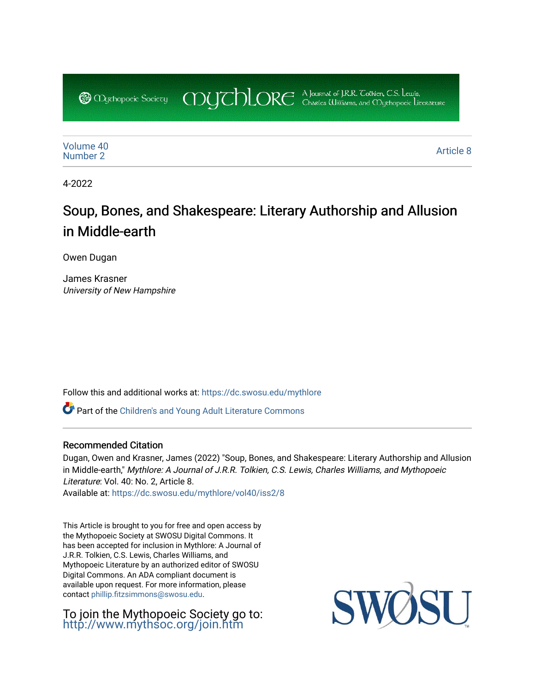COUCHORE A Journal of J.R.R. Colkien, C.S. Lewis, **@** *Oychopoeic* Sociecy

[Volume 40](https://dc.swosu.edu/mythlore/vol40) [Number 2](https://dc.swosu.edu/mythlore/vol40/iss2) [Article 8](https://dc.swosu.edu/mythlore/vol40/iss2/8) Article 8 Article 8 Article 8 Article 8 Article 8 Article 8 Article 8 Article 8 Article 8 A

4-2022

# Soup, Bones, and Shakespeare: Literary Authorship and Allusion in Middle-earth

Owen Dugan

James Krasner University of New Hampshire

Follow this and additional works at: [https://dc.swosu.edu/mythlore](https://dc.swosu.edu/mythlore?utm_source=dc.swosu.edu%2Fmythlore%2Fvol40%2Fiss2%2F8&utm_medium=PDF&utm_campaign=PDFCoverPages) 

Part of the [Children's and Young Adult Literature Commons](http://network.bepress.com/hgg/discipline/1289?utm_source=dc.swosu.edu%2Fmythlore%2Fvol40%2Fiss2%2F8&utm_medium=PDF&utm_campaign=PDFCoverPages) 

#### Recommended Citation

Dugan, Owen and Krasner, James (2022) "Soup, Bones, and Shakespeare: Literary Authorship and Allusion in Middle-earth," Mythlore: A Journal of J.R.R. Tolkien, C.S. Lewis, Charles Williams, and Mythopoeic Literature: Vol. 40: No. 2, Article 8.

Available at: [https://dc.swosu.edu/mythlore/vol40/iss2/8](https://dc.swosu.edu/mythlore/vol40/iss2/8?utm_source=dc.swosu.edu%2Fmythlore%2Fvol40%2Fiss2%2F8&utm_medium=PDF&utm_campaign=PDFCoverPages) 

This Article is brought to you for free and open access by the Mythopoeic Society at SWOSU Digital Commons. It has been accepted for inclusion in Mythlore: A Journal of J.R.R. Tolkien, C.S. Lewis, Charles Williams, and Mythopoeic Literature by an authorized editor of SWOSU Digital Commons. An ADA compliant document is available upon request. For more information, please contact [phillip.fitzsimmons@swosu.edu.](mailto:phillip.fitzsimmons@swosu.edu)

To join the Mythopoeic Society go to: <http://www.mythsoc.org/join.htm>

SWQ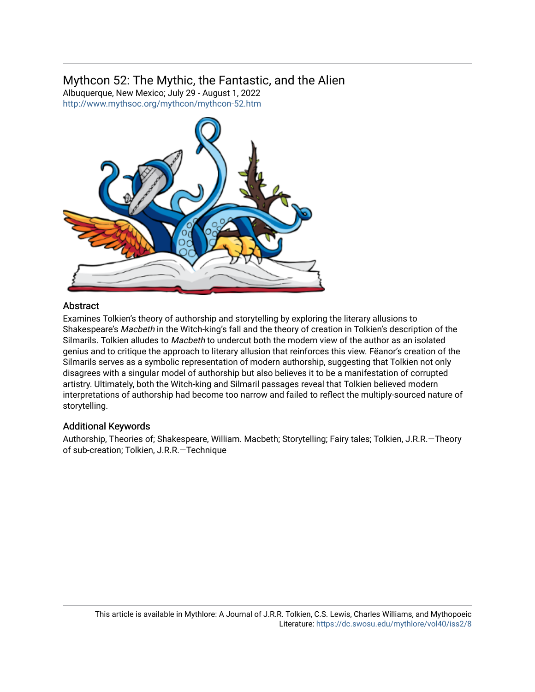## Mythcon 52: The Mythic, the Fantastic, and the Alien

Albuquerque, New Mexico; July 29 - August 1, 2022 <http://www.mythsoc.org/mythcon/mythcon-52.htm>



#### **Abstract**

Examines Tolkien's theory of authorship and storytelling by exploring the literary allusions to Shakespeare's Macbeth in the Witch-king's fall and the theory of creation in Tolkien's description of the Silmarils. Tolkien alludes to Macbeth to undercut both the modern view of the author as an isolated genius and to critique the approach to literary allusion that reinforces this view. Fëanor's creation of the Silmarils serves as a symbolic representation of modern authorship, suggesting that Tolkien not only disagrees with a singular model of authorship but also believes it to be a manifestation of corrupted artistry. Ultimately, both the Witch-king and Silmaril passages reveal that Tolkien believed modern interpretations of authorship had become too narrow and failed to reflect the multiply-sourced nature of storytelling.

#### Additional Keywords

Authorship, Theories of; Shakespeare, William. Macbeth; Storytelling; Fairy tales; Tolkien, J.R.R.—Theory of sub-creation; Tolkien, J.R.R.—Technique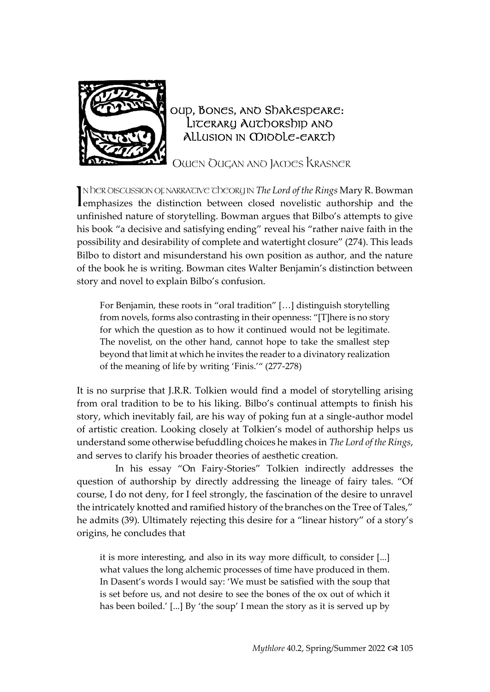

### OUP, BONES, ANO Shakespeare: LITERARY AUTHORSHIP AND Allusion in CDIOOLE-EARTh

OWEN DUGAN AND JAMES KRASNER

N hER OISCUSSION OF NARRATIVE The ORY IN *The Lord of the Rings* Mary R. Bowman emphasizes the distinction between closed novelistic authorship and the emphasizes the distinction between closed novelistic authorship and the unfinished nature of storytelling. Bowman argues that Bilbo's attempts to give his book "a decisive and satisfying ending" reveal his "rather naive faith in the possibility and desirability of complete and watertight closure" (274). This leads Bilbo to distort and misunderstand his own position as author, and the nature of the book he is writing. Bowman cites Walter Benjamin's distinction between story and novel to explain Bilbo's confusion.

For Benjamin, these roots in "oral tradition" […] distinguish storytelling from novels, forms also contrasting in their openness: "[T]here is no story for which the question as to how it continued would not be legitimate. The novelist, on the other hand, cannot hope to take the smallest step beyond that limit at which he invites the reader to a divinatory realization of the meaning of life by writing 'Finis.'" (277-278)

It is no surprise that J.R.R. Tolkien would find a model of storytelling arising from oral tradition to be to his liking. Bilbo's continual attempts to finish his story, which inevitably fail, are his way of poking fun at a single-author model of artistic creation. Looking closely at Tolkien's model of authorship helps us understand some otherwise befuddling choices he makes in *The Lord of the Rings*, and serves to clarify his broader theories of aesthetic creation.

In his essay "On Fairy-Stories" Tolkien indirectly addresses the question of authorship by directly addressing the lineage of fairy tales. "Of course, I do not deny, for I feel strongly, the fascination of the desire to unravel the intricately knotted and ramified history of the branches on the Tree of Tales," he admits (39). Ultimately rejecting this desire for a "linear history" of a story's origins, he concludes that

it is more interesting, and also in its way more difficult, to consider [...] what values the long alchemic processes of time have produced in them. In Dasent's words I would say: 'We must be satisfied with the soup that is set before us, and not desire to see the bones of the ox out of which it has been boiled.' [...] By 'the soup' I mean the story as it is served up by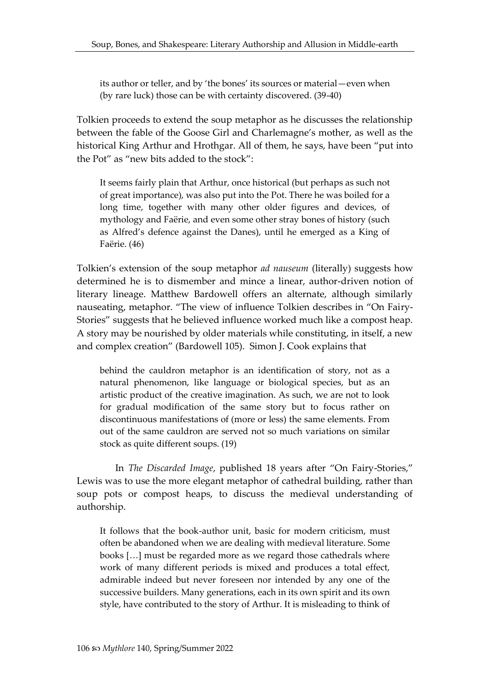its author or teller, and by 'the bones' its sources or material—even when (by rare luck) those can be with certainty discovered. (39-40)

Tolkien proceeds to extend the soup metaphor as he discusses the relationship between the fable of the Goose Girl and Charlemagne's mother, as well as the historical King Arthur and Hrothgar. All of them, he says, have been "put into the Pot" as "new bits added to the stock":

It seems fairly plain that Arthur, once historical (but perhaps as such not of great importance), was also put into the Pot. There he was boiled for a long time, together with many other older figures and devices, of mythology and Faërie, and even some other stray bones of history (such as Alfred's defence against the Danes), until he emerged as a King of Faërie. (46)

Tolkien's extension of the soup metaphor *ad nauseum* (literally) suggests how determined he is to dismember and mince a linear, author-driven notion of literary lineage. Matthew Bardowell offers an alternate, although similarly nauseating, metaphor. "The view of influence Tolkien describes in "On Fairy-Stories" suggests that he believed influence worked much like a compost heap. A story may be nourished by older materials while constituting, in itself, a new and complex creation" (Bardowell 105). Simon J. Cook explains that

behind the cauldron metaphor is an identification of story, not as a natural phenomenon, like language or biological species, but as an artistic product of the creative imagination. As such, we are not to look for gradual modification of the same story but to focus rather on discontinuous manifestations of (more or less) the same elements. From out of the same cauldron are served not so much variations on similar stock as quite different soups. (19)

In *The Discarded Image*, published 18 years after "On Fairy-Stories," Lewis was to use the more elegant metaphor of cathedral building, rather than soup pots or compost heaps, to discuss the medieval understanding of authorship.

It follows that the book-author unit, basic for modern criticism, must often be abandoned when we are dealing with medieval literature. Some books […] must be regarded more as we regard those cathedrals where work of many different periods is mixed and produces a total effect, admirable indeed but never foreseen nor intended by any one of the successive builders. Many generations, each in its own spirit and its own style, have contributed to the story of Arthur. It is misleading to think of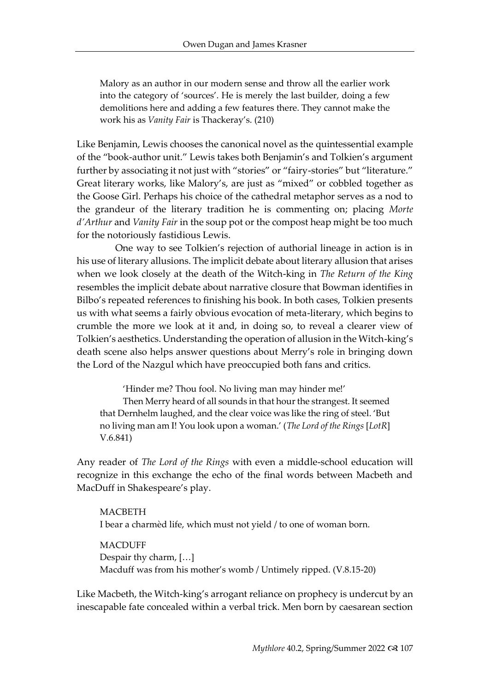Malory as an author in our modern sense and throw all the earlier work into the category of 'sources'. He is merely the last builder, doing a few demolitions here and adding a few features there. They cannot make the work his as *Vanity Fair* is Thackeray's. (210)

Like Benjamin, Lewis chooses the canonical novel as the quintessential example of the "book-author unit." Lewis takes both Benjamin's and Tolkien's argument further by associating it not just with "stories" or "fairy-stories" but "literature." Great literary works, like Malory's, are just as "mixed" or cobbled together as the Goose Girl. Perhaps his choice of the cathedral metaphor serves as a nod to the grandeur of the literary tradition he is commenting on; placing *Morte d'Arthur* and *Vanity Fair* in the soup pot or the compost heap might be too much for the notoriously fastidious Lewis.

One way to see Tolkien's rejection of authorial lineage in action is in his use of literary allusions. The implicit debate about literary allusion that arises when we look closely at the death of the Witch-king in *The Return of the King* resembles the implicit debate about narrative closure that Bowman identifies in Bilbo's repeated references to finishing his book. In both cases, Tolkien presents us with what seems a fairly obvious evocation of meta-literary, which begins to crumble the more we look at it and, in doing so, to reveal a clearer view of Tolkien's aesthetics. Understanding the operation of allusion in the Witch-king's death scene also helps answer questions about Merry's role in bringing down the Lord of the Nazgul which have preoccupied both fans and critics.

'Hinder me? Thou fool. No living man may hinder me!'

Then Merry heard of all sounds in that hour the strangest. It seemed that Dernhelm laughed, and the clear voice was like the ring of steel. 'But no living man am I! You look upon a woman.' (*The Lord of the Rings* [*LotR*] V.6.841)

Any reader of *The Lord of the Rings* with even a middle-school education will recognize in this exchange the echo of the final words between Macbeth and MacDuff in Shakespeare's play.

MACBETH I bear a charmèd life, which must not yield / to one of woman born.

MACDUFF Despair thy charm, […] Macduff was from his mother's womb / Untimely ripped. (V.8.15-20)

Like Macbeth, the Witch-king's arrogant reliance on prophecy is undercut by an inescapable fate concealed within a verbal trick. Men born by caesarean section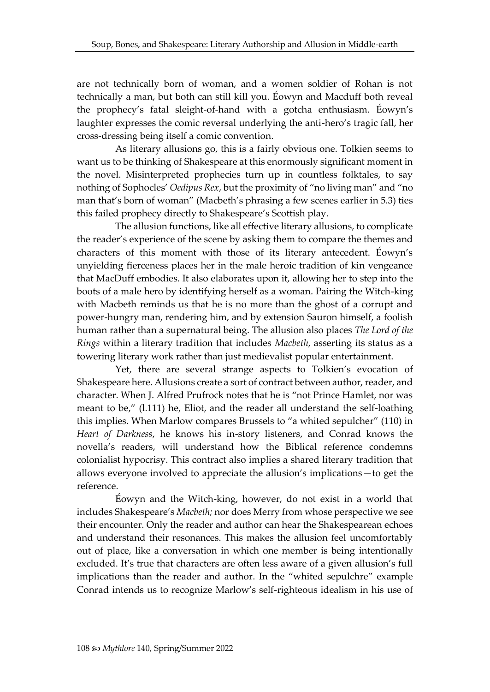are not technically born of woman, and a women soldier of Rohan is not technically a man, but both can still kill you. Éowyn and Macduff both reveal the prophecy's fatal sleight-of-hand with a gotcha enthusiasm. Éowyn's laughter expresses the comic reversal underlying the anti-hero's tragic fall, her cross-dressing being itself a comic convention.

As literary allusions go, this is a fairly obvious one. Tolkien seems to want us to be thinking of Shakespeare at this enormously significant moment in the novel. Misinterpreted prophecies turn up in countless folktales, to say nothing of Sophocles' *Oedipus Rex*, but the proximity of "no living man" and "no man that's born of woman" (Macbeth's phrasing a few scenes earlier in 5.3) ties this failed prophecy directly to Shakespeare's Scottish play.

The allusion functions, like all effective literary allusions, to complicate the reader's experience of the scene by asking them to compare the themes and characters of this moment with those of its literary antecedent. Éowyn's unyielding fierceness places her in the male heroic tradition of kin vengeance that MacDuff embodies. It also elaborates upon it, allowing her to step into the boots of a male hero by identifying herself as a woman. Pairing the Witch-king with Macbeth reminds us that he is no more than the ghost of a corrupt and power-hungry man, rendering him, and by extension Sauron himself, a foolish human rather than a supernatural being. The allusion also places *The Lord of the Rings* within a literary tradition that includes *Macbeth*, asserting its status as a towering literary work rather than just medievalist popular entertainment.

Yet, there are several strange aspects to Tolkien's evocation of Shakespeare here. Allusions create a sort of contract between author, reader, and character. When J. Alfred Prufrock notes that he is "not Prince Hamlet, nor was meant to be," (l.111) he, Eliot, and the reader all understand the self-loathing this implies. When Marlow compares Brussels to "a whited sepulcher" (110) in *Heart of Darkness*, he knows his in-story listeners, and Conrad knows the novella's readers, will understand how the Biblical reference condemns colonialist hypocrisy. This contract also implies a shared literary tradition that allows everyone involved to appreciate the allusion's implications—to get the reference.

Éowyn and the Witch-king, however, do not exist in a world that includes Shakespeare's *Macbeth;* nor does Merry from whose perspective we see their encounter. Only the reader and author can hear the Shakespearean echoes and understand their resonances. This makes the allusion feel uncomfortably out of place, like a conversation in which one member is being intentionally excluded. It's true that characters are often less aware of a given allusion's full implications than the reader and author. In the "whited sepulchre" example Conrad intends us to recognize Marlow's self-righteous idealism in his use of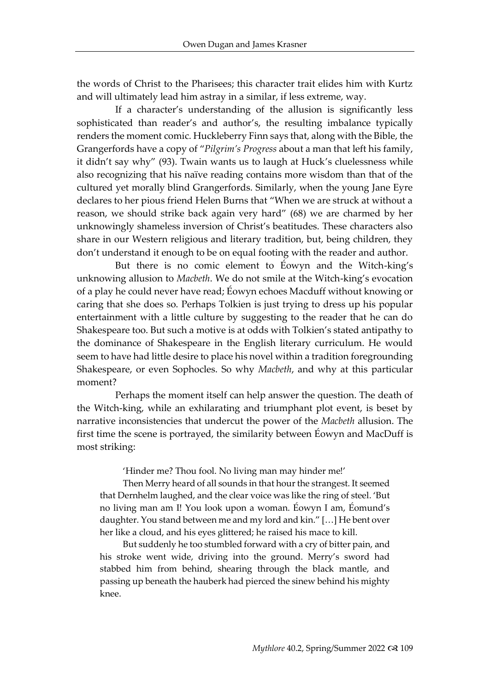the words of Christ to the Pharisees; this character trait elides him with Kurtz and will ultimately lead him astray in a similar, if less extreme, way.

If a character's understanding of the allusion is significantly less sophisticated than reader's and author's, the resulting imbalance typically renders the moment comic. Huckleberry Finn says that, along with the Bible, the Grangerfords have a copy of "*Pilgrim's Progress* about a man that left his family, it didn't say why" (93). Twain wants us to laugh at Huck's cluelessness while also recognizing that his naïve reading contains more wisdom than that of the cultured yet morally blind Grangerfords. Similarly, when the young Jane Eyre declares to her pious friend Helen Burns that "When we are struck at without a reason, we should strike back again very hard" (68) we are charmed by her unknowingly shameless inversion of Christ's beatitudes. These characters also share in our Western religious and literary tradition, but, being children, they don't understand it enough to be on equal footing with the reader and author.

But there is no comic element to Éowyn and the Witch-king's unknowing allusion to *Macbeth*. We do not smile at the Witch-king's evocation of a play he could never have read; Éowyn echoes Macduff without knowing or caring that she does so. Perhaps Tolkien is just trying to dress up his popular entertainment with a little culture by suggesting to the reader that he can do Shakespeare too. But such a motive is at odds with Tolkien's stated antipathy to the dominance of Shakespeare in the English literary curriculum. He would seem to have had little desire to place his novel within a tradition foregrounding Shakespeare, or even Sophocles. So why *Macbeth*, and why at this particular moment?

Perhaps the moment itself can help answer the question. The death of the Witch-king, while an exhilarating and triumphant plot event, is beset by narrative inconsistencies that undercut the power of the *Macbeth* allusion. The first time the scene is portrayed, the similarity between Éowyn and MacDuff is most striking:

'Hinder me? Thou fool. No living man may hinder me!'

Then Merry heard of all sounds in that hour the strangest. It seemed that Dernhelm laughed, and the clear voice was like the ring of steel. 'But no living man am I! You look upon a woman. Éowyn I am, Éomund's daughter. You stand between me and my lord and kin." […] He bent over her like a cloud, and his eyes glittered; he raised his mace to kill.

But suddenly he too stumbled forward with a cry of bitter pain, and his stroke went wide, driving into the ground. Merry's sword had stabbed him from behind, shearing through the black mantle, and passing up beneath the hauberk had pierced the sinew behind his mighty knee.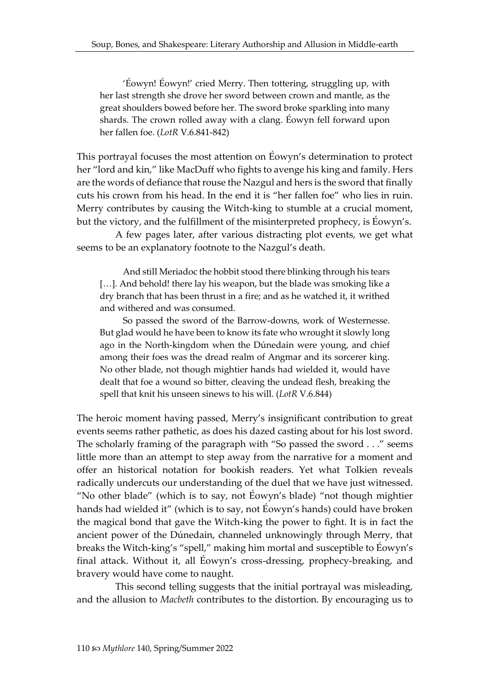'Éowyn! Éowyn!' cried Merry. Then tottering, struggling up, with her last strength she drove her sword between crown and mantle, as the great shoulders bowed before her. The sword broke sparkling into many shards. The crown rolled away with a clang. Éowyn fell forward upon her fallen foe. (*LotR* V.6.841-842)

This portrayal focuses the most attention on Éowyn's determination to protect her "lord and kin," like MacDuff who fights to avenge his king and family. Hers are the words of defiance that rouse the Nazgul and hers is the sword that finally cuts his crown from his head. In the end it is "her fallen foe" who lies in ruin. Merry contributes by causing the Witch-king to stumble at a crucial moment, but the victory, and the fulfillment of the misinterpreted prophecy, is Éowyn's.

A few pages later, after various distracting plot events, we get what seems to be an explanatory footnote to the Nazgul's death.

And still Meriadoc the hobbit stood there blinking through his tears [...]. And behold! there lay his weapon, but the blade was smoking like a dry branch that has been thrust in a fire; and as he watched it, it writhed and withered and was consumed.

So passed the sword of the Barrow-downs, work of Westernesse. But glad would he have been to know its fate who wrought it slowly long ago in the North-kingdom when the Dúnedain were young, and chief among their foes was the dread realm of Angmar and its sorcerer king. No other blade, not though mightier hands had wielded it, would have dealt that foe a wound so bitter, cleaving the undead flesh, breaking the spell that knit his unseen sinews to his will. (*LotR* V.6.844)

The heroic moment having passed, Merry's insignificant contribution to great events seems rather pathetic, as does his dazed casting about for his lost sword. The scholarly framing of the paragraph with "So passed the sword . . ." seems little more than an attempt to step away from the narrative for a moment and offer an historical notation for bookish readers. Yet what Tolkien reveals radically undercuts our understanding of the duel that we have just witnessed. "No other blade" (which is to say, not Éowyn's blade) "not though mightier hands had wielded it" (which is to say, not Éowyn's hands) could have broken the magical bond that gave the Witch-king the power to fight. It is in fact the ancient power of the Dúnedain, channeled unknowingly through Merry, that breaks the Witch-king's "spell," making him mortal and susceptible to Éowyn's final attack. Without it, all Éowyn's cross-dressing, prophecy-breaking, and bravery would have come to naught.

This second telling suggests that the initial portrayal was misleading, and the allusion to *Macbeth* contributes to the distortion. By encouraging us to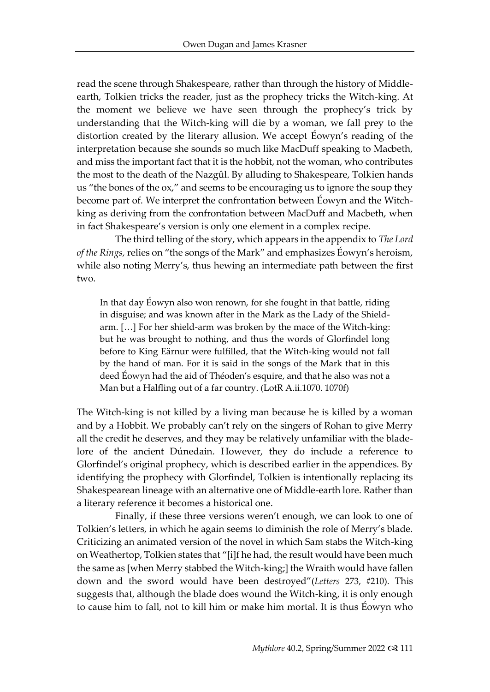read the scene through Shakespeare, rather than through the history of Middleearth, Tolkien tricks the reader, just as the prophecy tricks the Witch-king. At the moment we believe we have seen through the prophecy's trick by understanding that the Witch-king will die by a woman, we fall prey to the distortion created by the literary allusion. We accept Éowyn's reading of the interpretation because she sounds so much like MacDuff speaking to Macbeth, and miss the important fact that it is the hobbit, not the woman, who contributes the most to the death of the Nazgûl. By alluding to Shakespeare, Tolkien hands us "the bones of the ox," and seems to be encouraging us to ignore the soup they become part of. We interpret the confrontation between Éowyn and the Witchking as deriving from the confrontation between MacDuff and Macbeth, when in fact Shakespeare's version is only one element in a complex recipe.

The third telling of the story, which appears in the appendix to *The Lord of the Rings,* relies on "the songs of the Mark" and emphasizes Éowyn's heroism, while also noting Merry's, thus hewing an intermediate path between the first two.

In that day Éowyn also won renown, for she fought in that battle, riding in disguise; and was known after in the Mark as the Lady of the Shieldarm. […] For her shield-arm was broken by the mace of the Witch-king: but he was brought to nothing, and thus the words of Glorfindel long before to King Eärnur were fulfilled, that the Witch-king would not fall by the hand of man. For it is said in the songs of the Mark that in this deed Éowyn had the aid of Théoden's esquire, and that he also was not a Man but a Halfling out of a far country. (LotR A.ii.1070. 1070f)

The Witch-king is not killed by a living man because he is killed by a woman and by a Hobbit. We probably can't rely on the singers of Rohan to give Merry all the credit he deserves, and they may be relatively unfamiliar with the bladelore of the ancient Dúnedain. However, they do include a reference to Glorfindel's original prophecy, which is described earlier in the appendices. By identifying the prophecy with Glorfindel, Tolkien is intentionally replacing its Shakespearean lineage with an alternative one of Middle-earth lore. Rather than a literary reference it becomes a historical one.

Finally, if these three versions weren't enough, we can look to one of Tolkien's letters, in which he again seems to diminish the role of Merry's blade. Criticizing an animated version of the novel in which Sam stabs the Witch-king on Weathertop, Tolkien states that "[i]f he had, the result would have been much the same as [when Merry stabbed the Witch-king;] the Wraith would have fallen down and the sword would have been destroyed"(*Letters* 273, #210). This suggests that, although the blade does wound the Witch-king, it is only enough to cause him to fall, not to kill him or make him mortal. It is thus Éowyn who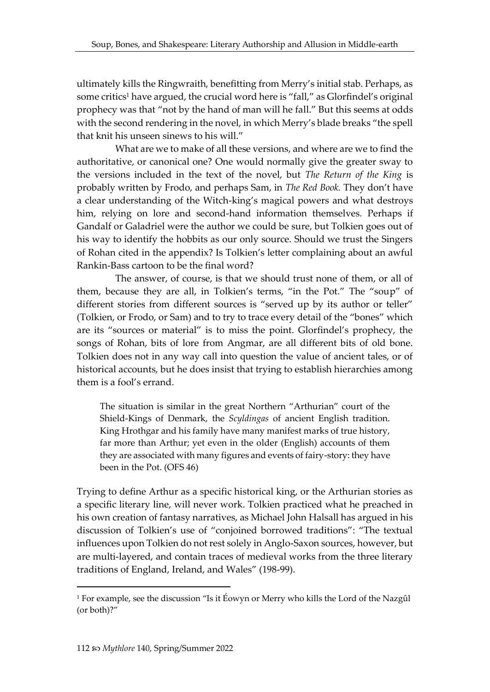ultimately kills the Ringwraith, benefitting from Merry's initial stab. Perhaps, as some critics<sup>1</sup> have argued, the crucial word here is "fall," as Glorfindel's original prophecy was that "not by the hand of man will he fall." But this seems at odds with the second rendering in the novel, in which Merry's blade breaks "the spell that knit his unseen sinews to his will."

What are we to make of all these versions, and where are we to find the authoritative, or canonical one? One would normally give the greater sway to the versions included in the text of the novel, but *The Return of the King* is probably written by Frodo, and perhaps Sam, in *The Red Book.* They don't have a clear understanding of the Witch-king's magical powers and what destroys him, relying on lore and second-hand information themselves. Perhaps if Gandalf or Galadriel were the author we could be sure, but Tolkien goes out of his way to identify the hobbits as our only source. Should we trust the Singers of Rohan cited in the appendix? Is Tolkien's letter complaining about an awful Rankin-Bass cartoon to be the final word?

The answer, of course, is that we should trust none of them, or all of them, because they are all, in Tolkien's terms, "in the Pot." The "soup" of different stories from different sources is "served up by its author or teller" (Tolkien, or Frodo, or Sam) and to try to trace every detail of the "bones" which are its "sources or material" is to miss the point. Glorfindel's prophecy, the songs of Rohan, bits of lore from Angmar, are all different bits of old bone. Tolkien does not in any way call into question the value of ancient tales, or of historical accounts, but he does insist that trying to establish hierarchies among them is a fool's errand.

The situation is similar in the great Northern "Arthurian" court of the Shield-Kings of Denmark, the *Scyldingas* of ancient English tradition. King Hrothgar and his family have many manifest marks of true history, far more than Arthur; yet even in the older (English) accounts of them they are associated with many figures and events of fairy-story: they have been in the Pot. (OFS 46)

Trying to define Arthur as a specific historical king, or the Arthurian stories as a specific literary line, will never work. Tolkien practiced what he preached in his own creation of fantasy narratives, as Michael John Halsall has argued in his discussion of Tolkien's use of "conjoined borrowed traditions": "The textual influences upon Tolkien do not rest solely in Anglo-Saxon sources, however, but are multi-layered, and contain traces of medieval works from the three literary traditions of England, Ireland, and Wales" (198-99).

<sup>1</sup> For example, see the discussion "Is it Éowyn or Merry who kills the Lord of the Nazgûl (or both)?"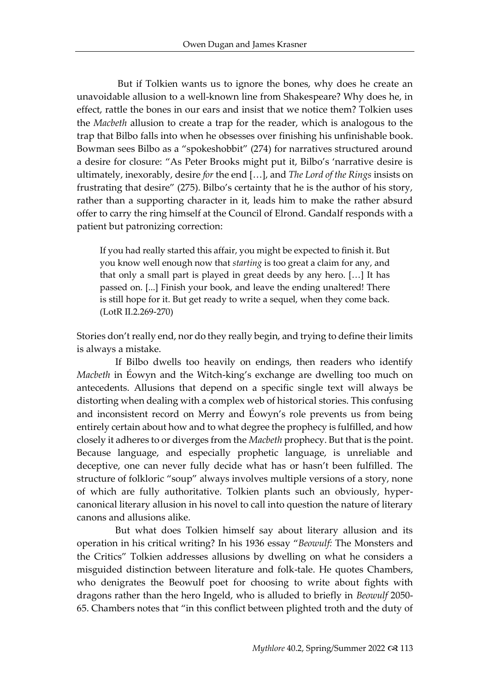But if Tolkien wants us to ignore the bones, why does he create an unavoidable allusion to a well-known line from Shakespeare? Why does he, in effect, rattle the bones in our ears and insist that we notice them? Tolkien uses the *Macbeth* allusion to create a trap for the reader, which is analogous to the trap that Bilbo falls into when he obsesses over finishing his unfinishable book. Bowman sees Bilbo as a "spokeshobbit" (274) for narratives structured around a desire for closure: "As Peter Brooks might put it, Bilbo's 'narrative desire is ultimately, inexorably, desire *for* the end […], and *The Lord of the Rings* insists on frustrating that desire" (275). Bilbo's certainty that he is the author of his story, rather than a supporting character in it, leads him to make the rather absurd offer to carry the ring himself at the Council of Elrond. Gandalf responds with a patient but patronizing correction:

If you had really started this affair, you might be expected to finish it. But you know well enough now that *starting* is too great a claim for any, and that only a small part is played in great deeds by any hero. […] It has passed on. [...] Finish your book, and leave the ending unaltered! There is still hope for it. But get ready to write a sequel, when they come back. (LotR II.2.269-270)

Stories don't really end, nor do they really begin, and trying to define their limits is always a mistake.

If Bilbo dwells too heavily on endings, then readers who identify *Macbeth* in Éowyn and the Witch-king's exchange are dwelling too much on antecedents. Allusions that depend on a specific single text will always be distorting when dealing with a complex web of historical stories. This confusing and inconsistent record on Merry and Éowyn's role prevents us from being entirely certain about how and to what degree the prophecy is fulfilled, and how closely it adheres to or diverges from the *Macbeth* prophecy. But that is the point. Because language, and especially prophetic language, is unreliable and deceptive, one can never fully decide what has or hasn't been fulfilled. The structure of folkloric "soup" always involves multiple versions of a story, none of which are fully authoritative. Tolkien plants such an obviously, hypercanonical literary allusion in his novel to call into question the nature of literary canons and allusions alike.

But what does Tolkien himself say about literary allusion and its operation in his critical writing? In his 1936 essay "*Beowulf:* The Monsters and the Critics" Tolkien addresses allusions by dwelling on what he considers a misguided distinction between literature and folk-tale. He quotes Chambers, who denigrates the Beowulf poet for choosing to write about fights with dragons rather than the hero Ingeld, who is alluded to briefly in *Beowulf* 2050- 65. Chambers notes that "in this conflict between plighted troth and the duty of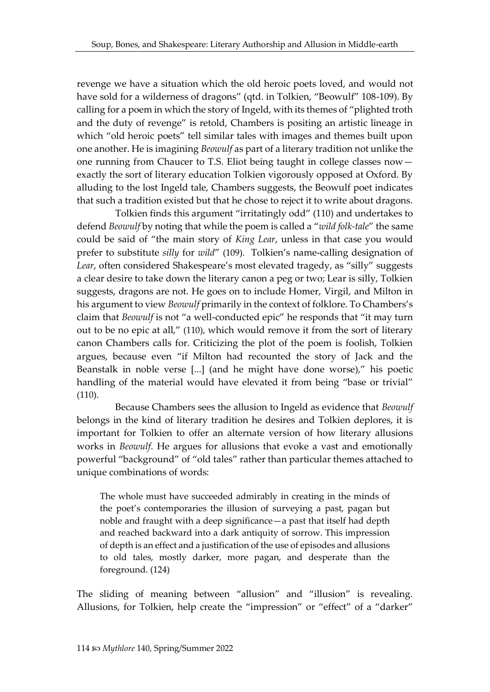revenge we have a situation which the old heroic poets loved, and would not have sold for a wilderness of dragons" (qtd. in Tolkien, "Beowulf" 108-109). By calling for a poem in which the story of Ingeld, with its themes of "plighted troth and the duty of revenge" is retold, Chambers is positing an artistic lineage in which "old heroic poets" tell similar tales with images and themes built upon one another. He is imagining *Beowulf* as part of a literary tradition not unlike the one running from Chaucer to T.S. Eliot being taught in college classes now exactly the sort of literary education Tolkien vigorously opposed at Oxford. By alluding to the lost Ingeld tale, Chambers suggests, the Beowulf poet indicates that such a tradition existed but that he chose to reject it to write about dragons.

Tolkien finds this argument "irritatingly odd" (110) and undertakes to defend *Beowulf* by noting that while the poem is called a "*wild folk-tale*" the same could be said of "the main story of *King Lear*, unless in that case you would prefer to substitute *silly* for *wild*" (109). Tolkien's name-calling designation of *Lear*, often considered Shakespeare's most elevated tragedy, as "silly" suggests a clear desire to take down the literary canon a peg or two; Lear is silly, Tolkien suggests, dragons are not. He goes on to include Homer, Virgil, and Milton in his argument to view *Beowulf* primarily in the context of folklore. To Chambers's claim that *Beowulf* is not "a well-conducted epic" he responds that "it may turn out to be no epic at all," (110), which would remove it from the sort of literary canon Chambers calls for. Criticizing the plot of the poem is foolish, Tolkien argues, because even "if Milton had recounted the story of Jack and the Beanstalk in noble verse [...] (and he might have done worse)," his poetic handling of the material would have elevated it from being "base or trivial" (110).

Because Chambers sees the allusion to Ingeld as evidence that *Beowulf*  belongs in the kind of literary tradition he desires and Tolkien deplores, it is important for Tolkien to offer an alternate version of how literary allusions works in *Beowulf*. He argues for allusions that evoke a vast and emotionally powerful "background" of "old tales" rather than particular themes attached to unique combinations of words:

The whole must have succeeded admirably in creating in the minds of the poet's contemporaries the illusion of surveying a past, pagan but noble and fraught with a deep significance—a past that itself had depth and reached backward into a dark antiquity of sorrow. This impression of depth is an effect and a justification of the use of episodes and allusions to old tales, mostly darker, more pagan, and desperate than the foreground. (124)

The sliding of meaning between "allusion" and "illusion" is revealing. Allusions, for Tolkien, help create the "impression" or "effect" of a "darker"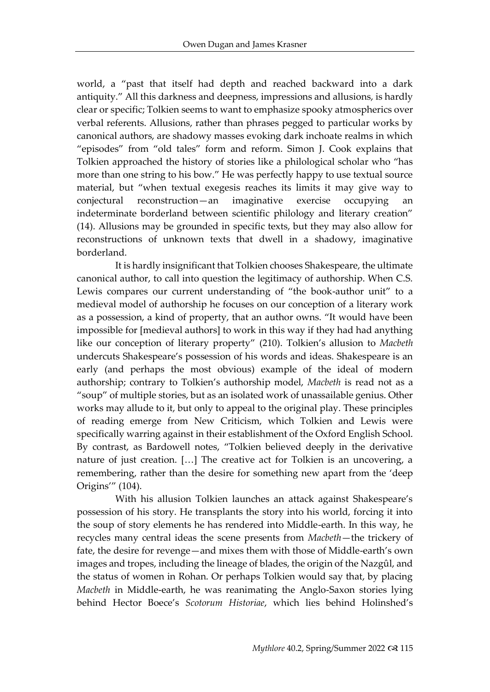world, a "past that itself had depth and reached backward into a dark antiquity." All this darkness and deepness, impressions and allusions, is hardly clear or specific; Tolkien seems to want to emphasize spooky atmospherics over verbal referents. Allusions, rather than phrases pegged to particular works by canonical authors, are shadowy masses evoking dark inchoate realms in which "episodes" from "old tales" form and reform. Simon J. Cook explains that Tolkien approached the history of stories like a philological scholar who "has more than one string to his bow." He was perfectly happy to use textual source material, but "when textual exegesis reaches its limits it may give way to conjectural reconstruction—an imaginative exercise occupying an indeterminate borderland between scientific philology and literary creation" (14). Allusions may be grounded in specific texts, but they may also allow for reconstructions of unknown texts that dwell in a shadowy, imaginative borderland.

It is hardly insignificant that Tolkien chooses Shakespeare, the ultimate canonical author, to call into question the legitimacy of authorship. When C.S. Lewis compares our current understanding of "the book-author unit" to a medieval model of authorship he focuses on our conception of a literary work as a possession, a kind of property, that an author owns. "It would have been impossible for [medieval authors] to work in this way if they had had anything like our conception of literary property" (210). Tolkien's allusion to *Macbeth*  undercuts Shakespeare's possession of his words and ideas. Shakespeare is an early (and perhaps the most obvious) example of the ideal of modern authorship; contrary to Tolkien's authorship model, *Macbeth* is read not as a "soup" of multiple stories, but as an isolated work of unassailable genius. Other works may allude to it, but only to appeal to the original play. These principles of reading emerge from New Criticism, which Tolkien and Lewis were specifically warring against in their establishment of the Oxford English School. By contrast, as Bardowell notes, "Tolkien believed deeply in the derivative nature of just creation. […] The creative act for Tolkien is an uncovering, a remembering, rather than the desire for something new apart from the 'deep Origins'" (104).

With his allusion Tolkien launches an attack against Shakespeare's possession of his story. He transplants the story into his world, forcing it into the soup of story elements he has rendered into Middle-earth. In this way, he recycles many central ideas the scene presents from *Macbeth*—the trickery of fate, the desire for revenge—and mixes them with those of Middle-earth's own images and tropes, including the lineage of blades, the origin of the Nazgûl, and the status of women in Rohan. Or perhaps Tolkien would say that, by placing *Macbeth* in Middle-earth, he was reanimating the Anglo-Saxon stories lying behind Hector Boece's *Scotorum Historiae*, which lies behind Holinshed's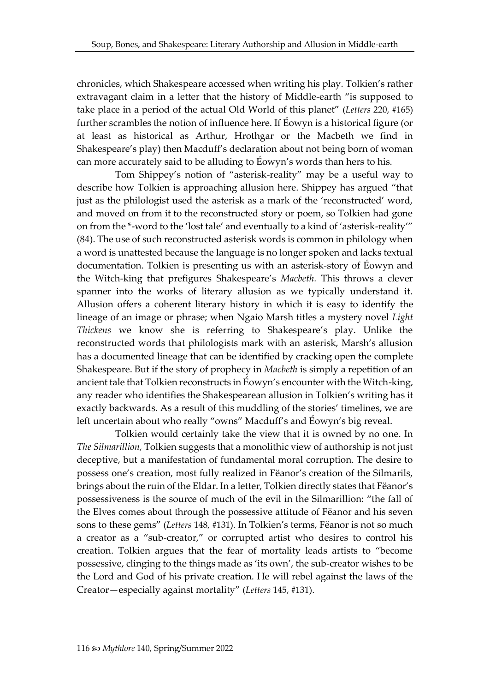chronicles, which Shakespeare accessed when writing his play. Tolkien's rather extravagant claim in a letter that the history of Middle-earth "is supposed to take place in a period of the actual Old World of this planet" (*Letters* 220, #165) further scrambles the notion of influence here. If Éowyn is a historical figure (or at least as historical as Arthur, Hrothgar or the Macbeth we find in Shakespeare's play) then Macduff's declaration about not being born of woman can more accurately said to be alluding to Éowyn's words than hers to his.

Tom Shippey's notion of "asterisk-reality" may be a useful way to describe how Tolkien is approaching allusion here. Shippey has argued "that just as the philologist used the asterisk as a mark of the 'reconstructed' word, and moved on from it to the reconstructed story or poem, so Tolkien had gone on from the \*-word to the 'lost tale' and eventually to a kind of 'asterisk-reality'" (84). The use of such reconstructed asterisk words is common in philology when a word is unattested because the language is no longer spoken and lacks textual documentation. Tolkien is presenting us with an asterisk-story of Éowyn and the Witch-king that prefigures Shakespeare's *Macbeth.* This throws a clever spanner into the works of literary allusion as we typically understand it. Allusion offers a coherent literary history in which it is easy to identify the lineage of an image or phrase; when Ngaio Marsh titles a mystery novel *Light Thickens* we know she is referring to Shakespeare's play. Unlike the reconstructed words that philologists mark with an asterisk, Marsh's allusion has a documented lineage that can be identified by cracking open the complete Shakespeare. But if the story of prophecy in *Macbeth* is simply a repetition of an ancient tale that Tolkien reconstructs in Éowyn's encounter with the Witch-king, any reader who identifies the Shakespearean allusion in Tolkien's writing has it exactly backwards. As a result of this muddling of the stories' timelines, we are left uncertain about who really "owns" Macduff's and Éowyn's big reveal.

Tolkien would certainly take the view that it is owned by no one. In *The Silmarillion,* Tolkien suggests that a monolithic view of authorship is not just deceptive, but a manifestation of fundamental moral corruption. The desire to possess one's creation, most fully realized in Fëanor's creation of the Silmarils, brings about the ruin of the Eldar. In a letter, Tolkien directly states that Fëanor's possessiveness is the source of much of the evil in the Silmarillion: "the fall of the Elves comes about through the possessive attitude of Fëanor and his seven sons to these gems" (*Letters* 148, #131). In Tolkien's terms, Fëanor is not so much a creator as a "sub-creator," or corrupted artist who desires to control his creation. Tolkien argues that the fear of mortality leads artists to "become possessive, clinging to the things made as 'its own', the sub-creator wishes to be the Lord and God of his private creation. He will rebel against the laws of the Creator—especially against mortality" (*Letters* 145, #131).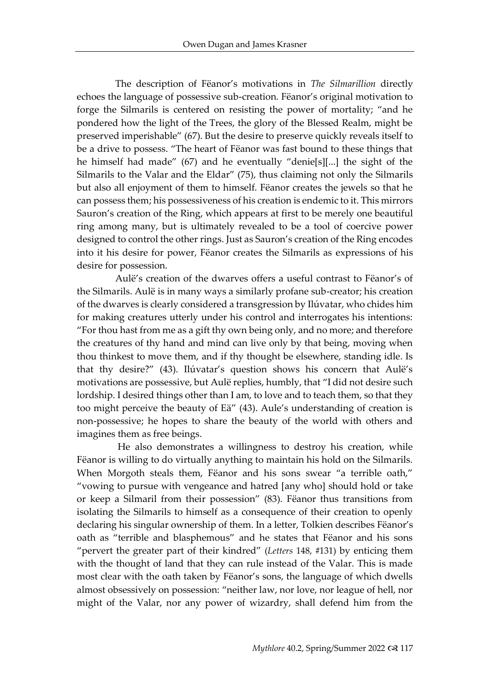The description of Fëanor's motivations in *The Silmarillion* directly echoes the language of possessive sub-creation. Fëanor's original motivation to forge the Silmarils is centered on resisting the power of mortality; "and he pondered how the light of the Trees, the glory of the Blessed Realm, might be preserved imperishable" (67). But the desire to preserve quickly reveals itself to be a drive to possess. "The heart of Fëanor was fast bound to these things that he himself had made" (67) and he eventually "denie[s][...] the sight of the Silmarils to the Valar and the Eldar" (75), thus claiming not only the Silmarils but also all enjoyment of them to himself. Fëanor creates the jewels so that he can possess them; his possessiveness of his creation is endemic to it. This mirrors Sauron's creation of the Ring, which appears at first to be merely one beautiful ring among many, but is ultimately revealed to be a tool of coercive power designed to control the other rings. Just as Sauron's creation of the Ring encodes into it his desire for power, Fëanor creates the Silmarils as expressions of his desire for possession.

Aulë's creation of the dwarves offers a useful contrast to Fëanor's of the Silmarils. Aulë is in many ways a similarly profane sub-creator; his creation of the dwarves is clearly considered a transgression by Ilúvatar, who chides him for making creatures utterly under his control and interrogates his intentions: "For thou hast from me as a gift thy own being only, and no more; and therefore the creatures of thy hand and mind can live only by that being, moving when thou thinkest to move them, and if thy thought be elsewhere, standing idle. Is that thy desire?" (43). Ilúvatar's question shows his concern that Aulë's motivations are possessive, but Aulë replies, humbly, that "I did not desire such lordship. I desired things other than I am, to love and to teach them, so that they too might perceive the beauty of Eä" (43). Aule's understanding of creation is non-possessive; he hopes to share the beauty of the world with others and imagines them as free beings.

He also demonstrates a willingness to destroy his creation, while Fëanor is willing to do virtually anything to maintain his hold on the Silmarils. When Morgoth steals them, Fëanor and his sons swear "a terrible oath," "vowing to pursue with vengeance and hatred [any who] should hold or take or keep a Silmaril from their possession" (83). Fëanor thus transitions from isolating the Silmarils to himself as a consequence of their creation to openly declaring his singular ownership of them. In a letter, Tolkien describes Fëanor's oath as "terrible and blasphemous" and he states that Fëanor and his sons "pervert the greater part of their kindred" (*Letters* 148, #131) by enticing them with the thought of land that they can rule instead of the Valar. This is made most clear with the oath taken by Fëanor's sons, the language of which dwells almost obsessively on possession: "neither law, nor love, nor league of hell, nor might of the Valar, nor any power of wizardry, shall defend him from the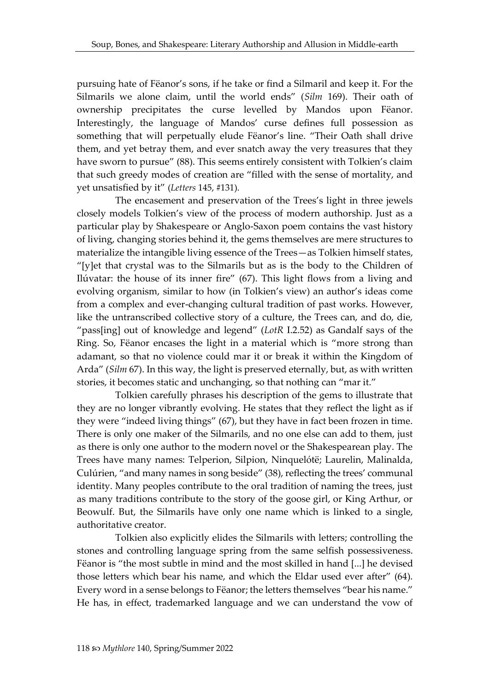pursuing hate of Fëanor's sons, if he take or find a Silmaril and keep it. For the Silmarils we alone claim, until the world ends" (*Silm* 169). Their oath of ownership precipitates the curse levelled by Mandos upon Fëanor. Interestingly, the language of Mandos' curse defines full possession as something that will perpetually elude Fëanor's line. "Their Oath shall drive them, and yet betray them, and ever snatch away the very treasures that they have sworn to pursue" (88). This seems entirely consistent with Tolkien's claim that such greedy modes of creation are "filled with the sense of mortality, and yet unsatisfied by it" (*Letters* 145, #131).

The encasement and preservation of the Trees's light in three jewels closely models Tolkien's view of the process of modern authorship. Just as a particular play by Shakespeare or Anglo-Saxon poem contains the vast history of living, changing stories behind it, the gems themselves are mere structures to materialize the intangible living essence of the Trees—as Tolkien himself states, "[y]et that crystal was to the Silmarils but as is the body to the Children of Ilúvatar: the house of its inner fire" (67). This light flows from a living and evolving organism, similar to how (in Tolkien's view) an author's ideas come from a complex and ever-changing cultural tradition of past works. However, like the untranscribed collective story of a culture, the Trees can, and do, die, "pass[ing] out of knowledge and legend" (*LotR* I.2.52) as Gandalf says of the Ring. So, Fëanor encases the light in a material which is "more strong than adamant, so that no violence could mar it or break it within the Kingdom of Arda" (*Silm* 67). In this way, the light is preserved eternally, but, as with written stories, it becomes static and unchanging, so that nothing can "mar it."

Tolkien carefully phrases his description of the gems to illustrate that they are no longer vibrantly evolving. He states that they reflect the light as if they were "indeed living things" (67), but they have in fact been frozen in time. There is only one maker of the Silmarils, and no one else can add to them, just as there is only one author to the modern novel or the Shakespearean play. The Trees have many names: Telperion, Silpion, Ninquelótë; Laurelin, Malinalda, Culúrien, "and many names in song beside" (38), reflecting the trees' communal identity. Many peoples contribute to the oral tradition of naming the trees, just as many traditions contribute to the story of the goose girl, or King Arthur, or Beowulf. But, the Silmarils have only one name which is linked to a single, authoritative creator.

Tolkien also explicitly elides the Silmarils with letters; controlling the stones and controlling language spring from the same selfish possessiveness. Fëanor is "the most subtle in mind and the most skilled in hand [...] he devised those letters which bear his name, and which the Eldar used ever after" (64). Every word in a sense belongs to Fëanor; the letters themselves "bear his name." He has, in effect, trademarked language and we can understand the vow of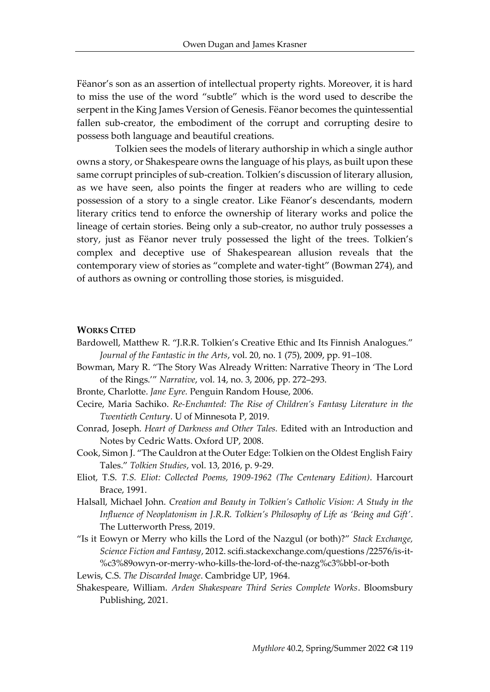Fëanor's son as an assertion of intellectual property rights. Moreover, it is hard to miss the use of the word "subtle" which is the word used to describe the serpent in the King James Version of Genesis. Fëanor becomes the quintessential fallen sub-creator, the embodiment of the corrupt and corrupting desire to possess both language and beautiful creations.

Tolkien sees the models of literary authorship in which a single author owns a story, or Shakespeare owns the language of his plays, as built upon these same corrupt principles of sub-creation. Tolkien's discussion of literary allusion, as we have seen, also points the finger at readers who are willing to cede possession of a story to a single creator. Like Fëanor's descendants, modern literary critics tend to enforce the ownership of literary works and police the lineage of certain stories. Being only a sub-creator, no author truly possesses a story, just as Fëanor never truly possessed the light of the trees. Tolkien's complex and deceptive use of Shakespearean allusion reveals that the contemporary view of stories as "complete and water-tight" (Bowman 274), and of authors as owning or controlling those stories, is misguided.

#### **WORKS CITED**

- Bardowell, Matthew R. "J.R.R. Tolkien's Creative Ethic and Its Finnish Analogues." *Journal of the Fantastic in the Arts*, vol. 20, no. 1 (75), 2009, pp. 91–108.
- Bowman, Mary R. "The Story Was Already Written: Narrative Theory in 'The Lord of the Rings.'" *Narrative*, vol. 14, no. 3, 2006, pp. 272–293.

Bronte, Charlotte. *Jane Eyre.* Penguin Random House, 2006.

- Cecire, Maria Sachiko. *Re-Enchanted: The Rise of Children's Fantasy Literature in the Twentieth Century*. U of Minnesota P, 2019.
- Conrad, Joseph. *Heart of Darkness and Other Tales.* Edited with an Introduction and Notes by Cedric Watts. Oxford UP, 2008.
- Cook, Simon J. "The Cauldron at the Outer Edge: Tolkien on the Oldest English Fairy Tales." *Tolkien Studies*, vol. 13, 2016, p. 9-29.
- Eliot, T.S. *T.S. Eliot: Collected Poems, 1909-1962 (The Centenary Edition)*. Harcourt Brace, 1991.
- Halsall, Michael John. *Creation and Beauty in Tolkien's Catholic Vision: A Study in the Influence of Neoplatonism in J.R.R. Tolkien's Philosophy of Life as 'Being and Gift'*. The Lutterworth Press, 2019.

"Is it Eowyn or Merry who kills the Lord of the Nazgul (or both)?" *Stack Exchange, Science Fiction and Fantasy*, 2012. scifi.stackexchange.com/questions /22576/is-it- %c3%89owyn-or-merry-who-kills-the-lord-of-the-nazg%c3%bbl-or-both

Lewis, C.S. *The Discarded Image*. Cambridge UP, 1964.

Shakespeare, William. *Arden Shakespeare Third Series Complete Works*. Bloomsbury Publishing, 2021.